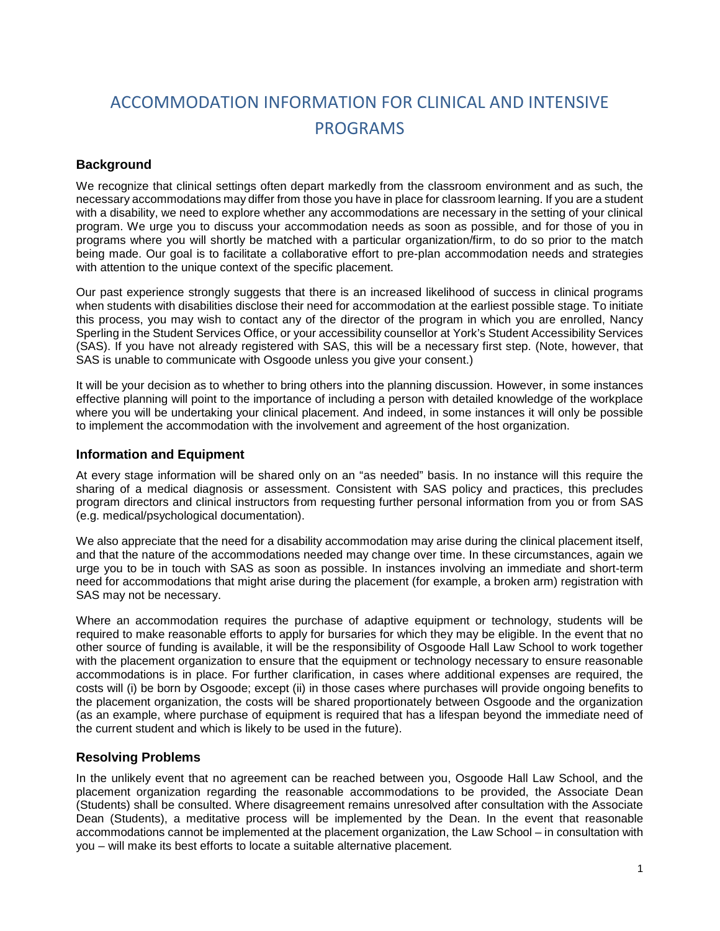# ACCOMMODATION INFORMATION FOR CLINICAL AND INTENSIVE PROGRAMS

### **Background**

We recognize that clinical settings often depart markedly from the classroom environment and as such, the necessary accommodations may differ from those you have in place for classroom learning. If you are a student with a disability, we need to explore whether any accommodations are necessary in the setting of your clinical program. We urge you to discuss your accommodation needs as soon as possible, and for those of you in programs where you will shortly be matched with a particular organization/firm, to do so prior to the match being made. Our goal is to facilitate a collaborative effort to pre-plan accommodation needs and strategies with attention to the unique context of the specific placement.

Our past experience strongly suggests that there is an increased likelihood of success in clinical programs when students with disabilities disclose their need for accommodation at the earliest possible stage. To initiate this process, you may wish to contact any of the director of the program in which you are enrolled, Nancy Sperling in the Student Services Office, or your accessibility counsellor at York's Student Accessibility Services (SAS). If you have not already registered with SAS, this will be a necessary first step. (Note, however, that SAS is unable to communicate with Osgoode unless you give your consent.)

It will be your decision as to whether to bring others into the planning discussion. However, in some instances effective planning will point to the importance of including a person with detailed knowledge of the workplace where you will be undertaking your clinical placement. And indeed, in some instances it will only be possible to implement the accommodation with the involvement and agreement of the host organization.

#### **Information and Equipment**

At every stage information will be shared only on an "as needed" basis. In no instance will this require the sharing of a medical diagnosis or assessment. Consistent with SAS policy and practices, this precludes program directors and clinical instructors from requesting further personal information from you or from SAS (e.g. medical/psychological documentation).

We also appreciate that the need for a disability accommodation may arise during the clinical placement itself, and that the nature of the accommodations needed may change over time. In these circumstances, again we urge you to be in touch with SAS as soon as possible. In instances involving an immediate and short-term need for accommodations that might arise during the placement (for example, a broken arm) registration with SAS may not be necessary.

Where an accommodation requires the purchase of adaptive equipment or technology, students will be required to make reasonable efforts to apply for bursaries for which they may be eligible. In the event that no other source of funding is available, it will be the responsibility of Osgoode Hall Law School to work together with the placement organization to ensure that the equipment or technology necessary to ensure reasonable accommodations is in place. For further clarification, in cases where additional expenses are required, the costs will (i) be born by Osgoode; except (ii) in those cases where purchases will provide ongoing benefits to the placement organization, the costs will be shared proportionately between Osgoode and the organization (as an example, where purchase of equipment is required that has a lifespan beyond the immediate need of the current student and which is likely to be used in the future).

#### **Resolving Problems**

In the unlikely event that no agreement can be reached between you, Osgoode Hall Law School, and the placement organization regarding the reasonable accommodations to be provided, the Associate Dean (Students) shall be consulted. Where disagreement remains unresolved after consultation with the Associate Dean (Students), a meditative process will be implemented by the Dean. In the event that reasonable accommodations cannot be implemented at the placement organization, the Law School – in consultation with you – will make its best efforts to locate a suitable alternative placement*.*